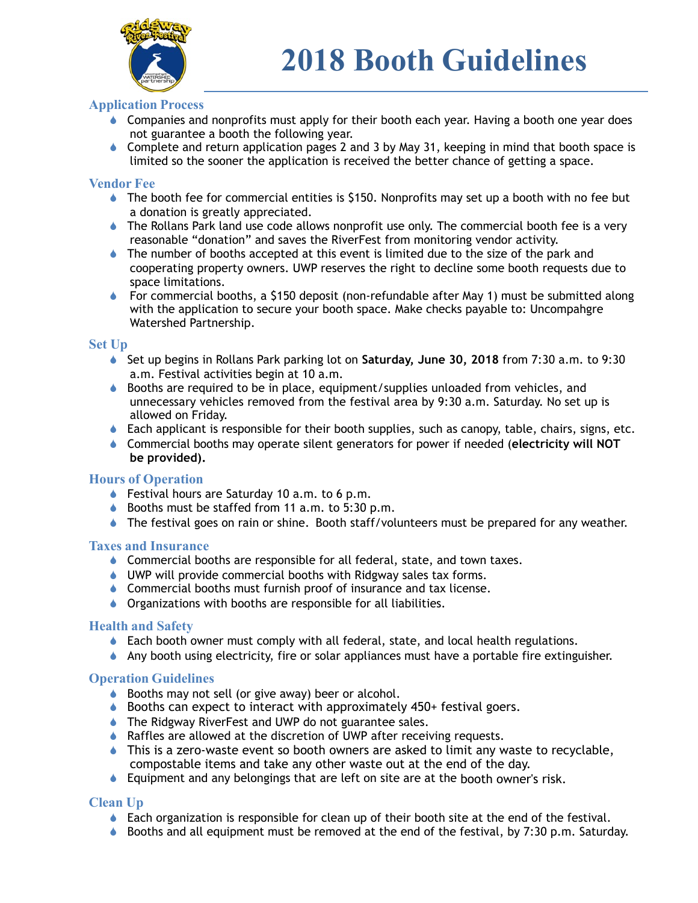

## **Application Process**

- Companies and nonprofits must apply for their booth each year. Having a booth one year does not guarantee a booth the following year.
- $\bullet$  Complete and return application pages 2 and 3 by May 31, keeping in mind that booth space is limited so the sooner the application is received the better chance of getting a space.

#### **Vendor Fee**

- $\bullet$  The booth fee for commercial entities is \$150. Nonprofits may set up a booth with no fee but a donation is greatly appreciated.
- ! The Rollans Park land use code allows nonprofit use only. The commercial booth fee is a very reasonable "donation" and saves the RiverFest from monitoring vendor activity.
- $\bullet$  The number of booths accepted at this event is limited due to the size of the park and cooperating property owners. UWP reserves the right to decline some booth requests due to space limitations.
- $\bullet$  For commercial booths, a \$150 deposit (non-refundable after May 1) must be submitted along with the application to secure your booth space. Make checks payable to: Uncompahgre Watershed Partnership.

#### **Set Up**

- ! Set up begins in Rollans Park parking lot on **Saturday, June 30, 2018** from 7:30 a.m. to 9:30 a.m. Festival activities begin at 10 a.m.
- $\bullet$  Booths are required to be in place, equipment/supplies unloaded from vehicles, and unnecessary vehicles removed from the festival area by 9:30 a.m. Saturday. No set up is allowed on Friday.
- $\bullet$  Each applicant is responsible for their booth supplies, such as canopy, table, chairs, signs, etc.
- ! Commercial booths may operate silent generators for power if needed (**electricity will NOT be provided).**

## **Hours of Operation**

- $\bullet$  Festival hours are Saturday 10 a.m. to 6 p.m.
- $\bullet$  Booths must be staffed from 11 a.m. to 5:30 p.m.
- $\bullet$  The festival goes on rain or shine. Booth staff/volunteers must be prepared for any weather.

#### **Taxes and Insurance**

- $\bullet$  Commercial booths are responsible for all federal, state, and town taxes.
- ♦ UWP will provide commercial booths with Ridgway sales tax forms.
- **Commercial booths must furnish proof of insurance and tax license.**
- **I** Organizations with booths are responsible for all liabilities.

## **Health and Safety**

- $\bullet$  Each booth owner must comply with all federal, state, and local health regulations.
- $\bullet$  Any booth using electricity, fire or solar appliances must have a portable fire extinguisher.

## **Operation Guidelines**

- ♦ Booths may not sell (or give away) beer or alcohol.
- ♦ Booths can expect to interact with approximately 450+ festival goers.
- ♦ The Ridgway RiverFest and UWP do not guarantee sales.
- ♦ Raffles are allowed at the discretion of UWP after receiving requests.
- $\bullet$  This is a zero-waste event so booth owners are asked to limit any waste to recyclable, compostable items and take any other waste out at the end of the day.
- $\bullet$  Equipment and any belongings that are left on site are at the booth owner's risk.

## **Clean Up**

- $\bullet$  Each organization is responsible for clean up of their booth site at the end of the festival.
- $\bullet$  Booths and all equipment must be removed at the end of the festival, by 7:30 p.m. Saturday.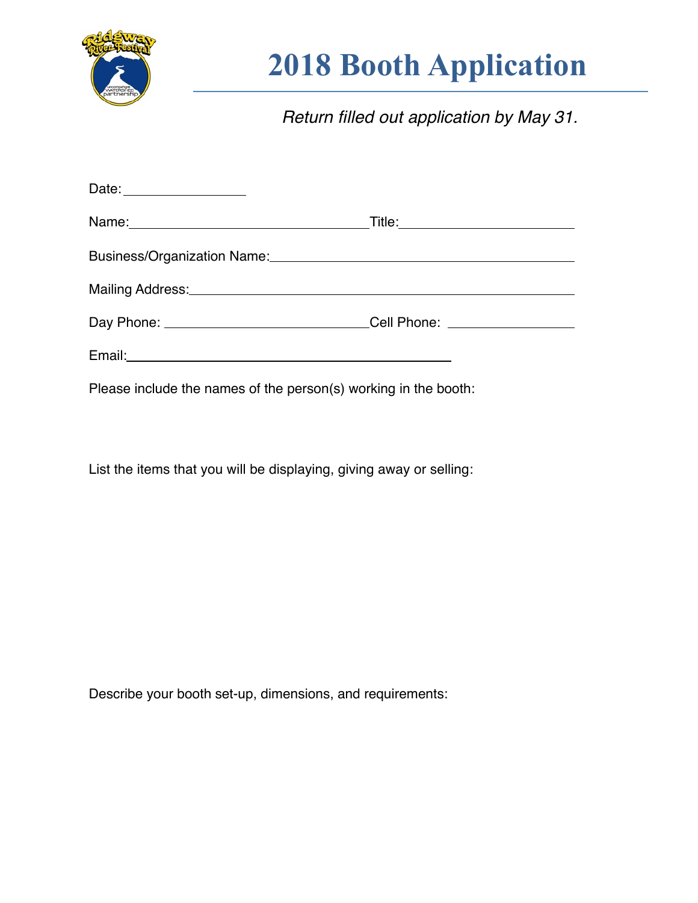

# **2018 Booth Application**

*Return filled out application by May 31.*

| Business/Organization Name: 2008 and 2008 and 2008 and 2008 and 2008 and 2008 and 2008 and 2008 and 2008 and 20 |  |
|-----------------------------------------------------------------------------------------------------------------|--|
| Mailing Address: Manual Marian Communication of the Mailing Address:                                            |  |
| Day Phone: _______________________________Cell Phone: __________________________                                |  |
|                                                                                                                 |  |
| Please include the names of the person(s) working in the booth:                                                 |  |

List the items that you will be displaying, giving away or selling:

Describe your booth set-up, dimensions, and requirements: